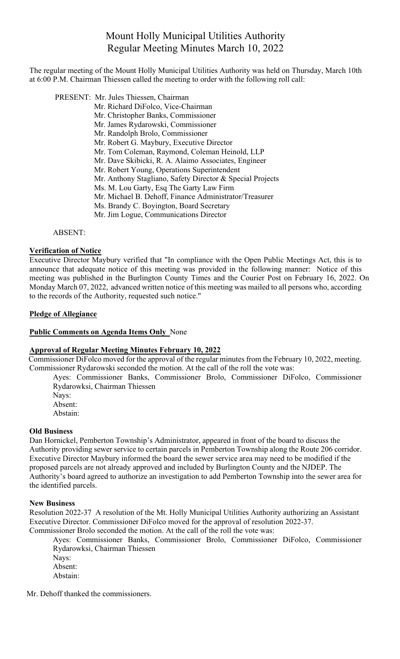# Mount Holly Municipal Utilities Authority Regular Meeting Minutes March 10, 2022

The regular meeting of the Mount Holly Municipal Utilities Authority was held on Thursday, March 10th at 6:00 P.M. Chairman Thiessen called the meeting to order with the following roll call:

 PRESENT: Mr. Jules Thiessen, Chairman Mr. Richard DiFolco, Vice-Chairman Mr. Christopher Banks, Commissioner Mr. James Rydarowski, Commissioner Mr. Randolph Brolo, Commissioner Mr. Robert G. Maybury, Executive Director Mr. Tom Coleman, Raymond, Coleman Heinold, LLP Mr. Dave Skibicki, R. A. Alaimo Associates, Engineer Mr. Robert Young, Operations Superintendent Mr. Anthony Stagliano, Safety Director & Special Projects Ms. M. Lou Garty, Esq The Garty Law Firm Mr. Michael B. Dehoff, Finance Administrator/Treasurer Ms. Brandy C. Boyington, Board Secretary Mr. Jim Logue, Communications Director

ABSENT:

## **Verification of Notice**

Executive Director Maybury verified that "In compliance with the Open Public Meetings Act, this is to announce that adequate notice of this meeting was provided in the following manner: Notice of this meeting was published in the Burlington County Times and the Courier Post on February 16, 2022. On Monday March 07, 2022, advanced written notice of this meeting was mailed to all persons who, according to the records of the Authority, requested such notice."

#### **Pledge of Allegiance**

### **Public Comments on Agenda Items Only** None

#### **Approval of Regular Meeting Minutes February 10, 2022**

Commissioner DiFolco moved for the approval of the regular minutes from the February 10, 2022, meeting. Commissioner Rydarowski seconded the motion. At the call of the roll the vote was:

Ayes: Commissioner Banks, Commissioner Brolo, Commissioner DiFolco, Commissioner Rydarowksi, Chairman Thiessen

Nays: Absent:

Abstain:

#### **Old Business**

Dan Hornickel, Pemberton Township's Administrator, appeared in front of the board to discuss the Authority providing sewer service to certain parcels in Pemberton Township along the Route 206 corridor. Executive Director Maybury informed the board the sewer service area may need to be modified if the proposed parcels are not already approved and included by Burlington County and the NJDEP. The Authority's board agreed to authorize an investigation to add Pemberton Township into the sewer area for the identified parcels.

#### **New Business**

Resolution 2022-37 A resolution of the Mt. Holly Municipal Utilities Authority authorizing an Assistant Executive Director. Commissioner DiFolco moved for the approval of resolution 2022-37. Commissioner Brolo seconded the motion. At the call of the roll the vote was:

Ayes: Commissioner Banks, Commissioner Brolo, Commissioner DiFolco, Commissioner Rydarowksi, Chairman Thiessen

Nays: Absent:

Abstain:

Mr. Dehoff thanked the commissioners.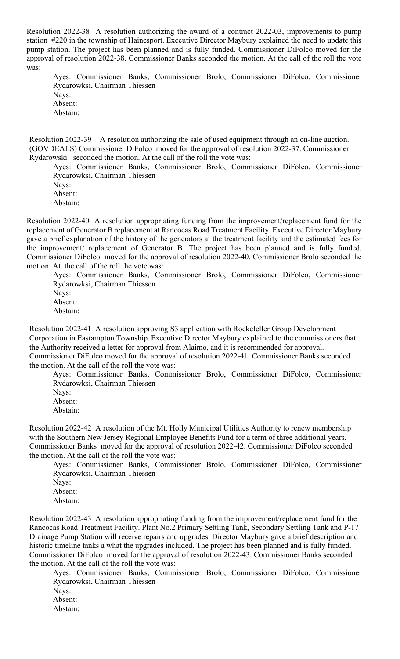Resolution 2022-38 A resolution authorizing the award of a contract 2022-03, improvements to pump station #220 in the township of Hainesport. Executive Director Maybury explained the need to update this pump station. The project has been planned and is fully funded. Commissioner DiFolco moved for the approval of resolution 2022-38. Commissioner Banks seconded the motion. At the call of the roll the vote was:

Ayes: Commissioner Banks, Commissioner Brolo, Commissioner DiFolco, Commissioner Rydarowksi, Chairman Thiessen Nays: Absent: Abstain:

Resolution 2022-39 A resolution authorizing the sale of used equipment through an on-line auction. (GOVDEALS) Commissioner DiFolco moved for the approval of resolution 2022-37. Commissioner Rydarowski seconded the motion. At the call of the roll the vote was:

Ayes: Commissioner Banks, Commissioner Brolo, Commissioner DiFolco, Commissioner Rydarowksi, Chairman Thiessen

Nays: Absent: Abstain:

Resolution 2022-40 A resolution appropriating funding from the improvement/replacement fund for the replacement of Generator B replacement at Rancocas Road Treatment Facility. Executive Director Maybury gave a brief explanation of the history of the generators at the treatment facility and the estimated fees for the improvement/ replacement of Generator B. The project has been planned and is fully funded. Commissioner DiFolco moved for the approval of resolution 2022-40. Commissioner Brolo seconded the motion. At the call of the roll the vote was:

Ayes: Commissioner Banks, Commissioner Brolo, Commissioner DiFolco, Commissioner Rydarowksi, Chairman Thiessen Nays:

Absent: Abstain:

Resolution 2022-41 A resolution approving S3 application with Rockefeller Group Development Corporation in Eastampton Township. Executive Director Maybury explained to the commissioners that the Authority received a letter for approval from Alaimo, and it is recommended for approval. Commissioner DiFolco moved for the approval of resolution 2022-41. Commissioner Banks seconded the motion. At the call of the roll the vote was:

Ayes: Commissioner Banks, Commissioner Brolo, Commissioner DiFolco, Commissioner Rydarowksi, Chairman Thiessen

Nays:

Absent: Abstain:

Resolution 2022-42 A resolution of the Mt. Holly Municipal Utilities Authority to renew membership with the Southern New Jersey Regional Employee Benefits Fund for a term of three additional years. Commissioner Banks moved for the approval of resolution 2022-42. Commissioner DiFolco seconded the motion. At the call of the roll the vote was:

Ayes: Commissioner Banks, Commissioner Brolo, Commissioner DiFolco, Commissioner Rydarowksi, Chairman Thiessen Nays:

Absent: Abstain:

Resolution 2022-43 A resolution appropriating funding from the improvement/replacement fund for the Rancocas Road Treatment Facility. Plant No.2 Primary Settling Tank, Secondary Settling Tank and P-17 Drainage Pump Station will receive repairs and upgrades. Director Maybury gave a brief description and historic timeline tanks a what the upgrades included. The project has been planned and is fully funded. Commissioner DiFolco moved for the approval of resolution 2022-43. Commissioner Banks seconded the motion. At the call of the roll the vote was:

Ayes: Commissioner Banks, Commissioner Brolo, Commissioner DiFolco, Commissioner Rydarowksi, Chairman Thiessen Nays: Absent:

Abstain: